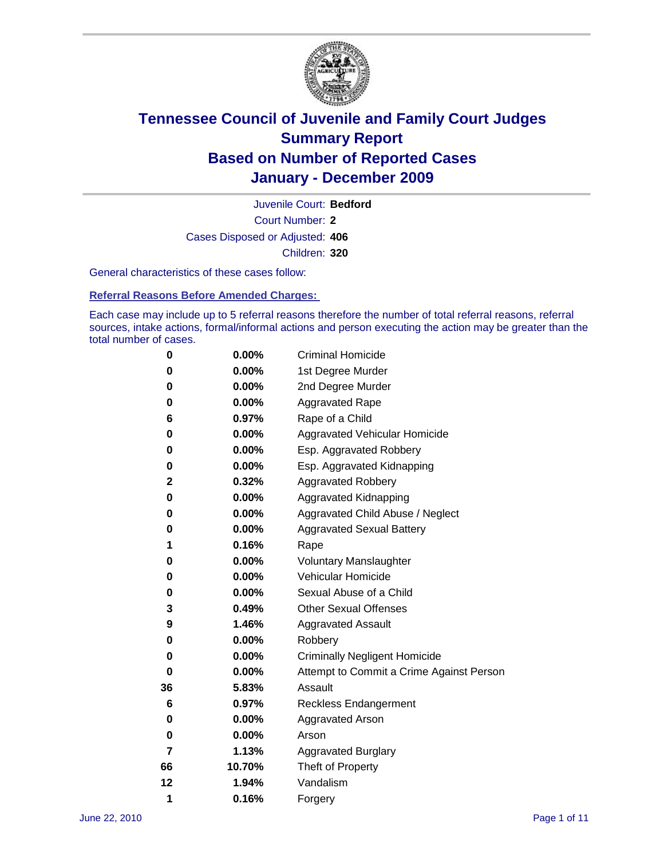

Court Number: **2** Juvenile Court: **Bedford** Cases Disposed or Adjusted: **406** Children: **320**

General characteristics of these cases follow:

**Referral Reasons Before Amended Charges:** 

Each case may include up to 5 referral reasons therefore the number of total referral reasons, referral sources, intake actions, formal/informal actions and person executing the action may be greater than the total number of cases.

| 0  | 0.00%    | <b>Criminal Homicide</b>                 |  |  |  |  |
|----|----------|------------------------------------------|--|--|--|--|
| 0  | 0.00%    | 1st Degree Murder                        |  |  |  |  |
| 0  | 0.00%    | 2nd Degree Murder                        |  |  |  |  |
| 0  | 0.00%    | <b>Aggravated Rape</b>                   |  |  |  |  |
| 6  | 0.97%    | Rape of a Child                          |  |  |  |  |
| 0  | 0.00%    | Aggravated Vehicular Homicide            |  |  |  |  |
| 0  | 0.00%    | Esp. Aggravated Robbery                  |  |  |  |  |
| 0  | 0.00%    | Esp. Aggravated Kidnapping               |  |  |  |  |
| 2  | 0.32%    | <b>Aggravated Robbery</b>                |  |  |  |  |
| 0  | 0.00%    | Aggravated Kidnapping                    |  |  |  |  |
| 0  | 0.00%    | Aggravated Child Abuse / Neglect         |  |  |  |  |
| 0  | 0.00%    | <b>Aggravated Sexual Battery</b>         |  |  |  |  |
| 1  | 0.16%    | Rape                                     |  |  |  |  |
| 0  | $0.00\%$ | <b>Voluntary Manslaughter</b>            |  |  |  |  |
| 0  | 0.00%    | Vehicular Homicide                       |  |  |  |  |
| 0  | 0.00%    | Sexual Abuse of a Child                  |  |  |  |  |
| 3  | 0.49%    | <b>Other Sexual Offenses</b>             |  |  |  |  |
| 9  | 1.46%    | <b>Aggravated Assault</b>                |  |  |  |  |
| 0  | $0.00\%$ | Robbery                                  |  |  |  |  |
| 0  | 0.00%    | <b>Criminally Negligent Homicide</b>     |  |  |  |  |
| 0  | 0.00%    | Attempt to Commit a Crime Against Person |  |  |  |  |
| 36 | 5.83%    | Assault                                  |  |  |  |  |
| 6  | 0.97%    | <b>Reckless Endangerment</b>             |  |  |  |  |
| 0  | 0.00%    | <b>Aggravated Arson</b>                  |  |  |  |  |
| 0  | 0.00%    | Arson                                    |  |  |  |  |
| 7  | 1.13%    | <b>Aggravated Burglary</b>               |  |  |  |  |
| 66 | 10.70%   | Theft of Property                        |  |  |  |  |
| 12 | 1.94%    | Vandalism                                |  |  |  |  |
| 1  | 0.16%    | Forgery                                  |  |  |  |  |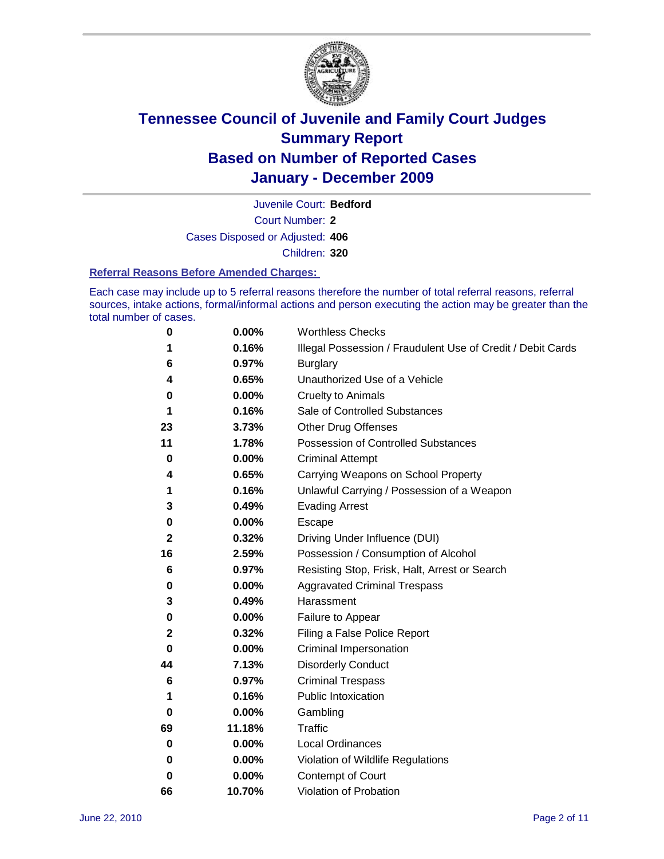

Court Number: **2** Juvenile Court: **Bedford** Cases Disposed or Adjusted: **406** Children: **320**

#### **Referral Reasons Before Amended Charges:**

Each case may include up to 5 referral reasons therefore the number of total referral reasons, referral sources, intake actions, formal/informal actions and person executing the action may be greater than the total number of cases.

| 0  | 0.00%  | <b>Worthless Checks</b>                                     |
|----|--------|-------------------------------------------------------------|
| 1  | 0.16%  | Illegal Possession / Fraudulent Use of Credit / Debit Cards |
| 6  | 0.97%  | <b>Burglary</b>                                             |
| 4  | 0.65%  | Unauthorized Use of a Vehicle                               |
| 0  | 0.00%  | <b>Cruelty to Animals</b>                                   |
| 1  | 0.16%  | Sale of Controlled Substances                               |
| 23 | 3.73%  | <b>Other Drug Offenses</b>                                  |
| 11 | 1.78%  | Possession of Controlled Substances                         |
| 0  | 0.00%  | <b>Criminal Attempt</b>                                     |
| 4  | 0.65%  | Carrying Weapons on School Property                         |
| 1  | 0.16%  | Unlawful Carrying / Possession of a Weapon                  |
| 3  | 0.49%  | <b>Evading Arrest</b>                                       |
| 0  | 0.00%  | Escape                                                      |
| 2  | 0.32%  | Driving Under Influence (DUI)                               |
| 16 | 2.59%  | Possession / Consumption of Alcohol                         |
| 6  | 0.97%  | Resisting Stop, Frisk, Halt, Arrest or Search               |
| 0  | 0.00%  | <b>Aggravated Criminal Trespass</b>                         |
| 3  | 0.49%  | Harassment                                                  |
| 0  | 0.00%  | Failure to Appear                                           |
| 2  | 0.32%  | Filing a False Police Report                                |
| 0  | 0.00%  | Criminal Impersonation                                      |
| 44 | 7.13%  | <b>Disorderly Conduct</b>                                   |
| 6  | 0.97%  | <b>Criminal Trespass</b>                                    |
| 1  | 0.16%  | <b>Public Intoxication</b>                                  |
| 0  | 0.00%  | Gambling                                                    |
| 69 | 11.18% | <b>Traffic</b>                                              |
| 0  | 0.00%  | <b>Local Ordinances</b>                                     |
| 0  | 0.00%  | Violation of Wildlife Regulations                           |
| 0  | 0.00%  | Contempt of Court                                           |
| 66 | 10.70% | Violation of Probation                                      |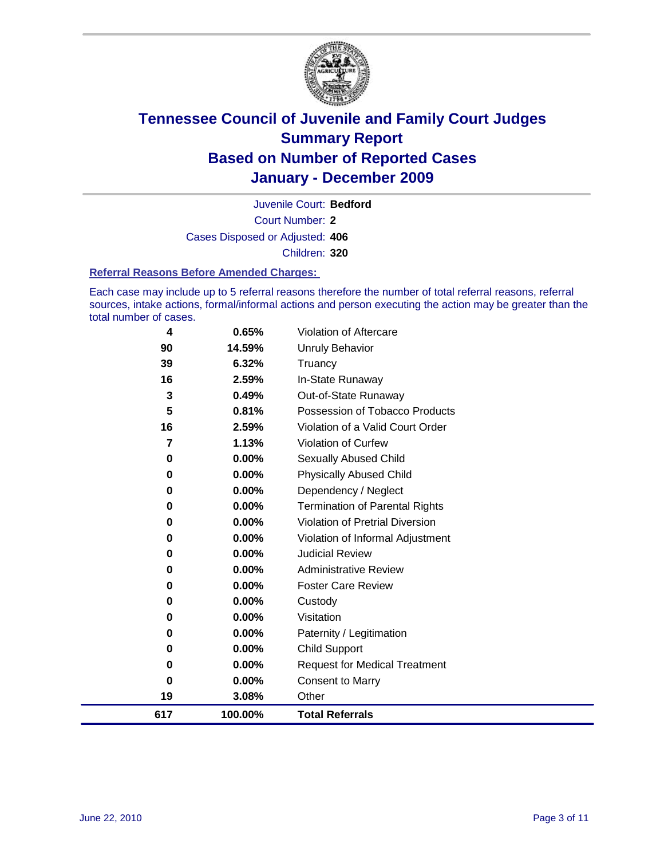

Court Number: **2** Juvenile Court: **Bedford** Cases Disposed or Adjusted: **406** Children: **320**

#### **Referral Reasons Before Amended Charges:**

Each case may include up to 5 referral reasons therefore the number of total referral reasons, referral sources, intake actions, formal/informal actions and person executing the action may be greater than the total number of cases.

| 4   | 0.65%    | Violation of Aftercare                 |
|-----|----------|----------------------------------------|
| 90  | 14.59%   | <b>Unruly Behavior</b>                 |
| 39  | 6.32%    | Truancy                                |
| 16  | 2.59%    | In-State Runaway                       |
| 3   | 0.49%    | Out-of-State Runaway                   |
| 5   | 0.81%    | Possession of Tobacco Products         |
| 16  | 2.59%    | Violation of a Valid Court Order       |
| 7   | 1.13%    | <b>Violation of Curfew</b>             |
| 0   | $0.00\%$ | Sexually Abused Child                  |
| 0   | 0.00%    | <b>Physically Abused Child</b>         |
| 0   | 0.00%    | Dependency / Neglect                   |
| 0   | $0.00\%$ | <b>Termination of Parental Rights</b>  |
| 0   | $0.00\%$ | <b>Violation of Pretrial Diversion</b> |
| 0   | 0.00%    | Violation of Informal Adjustment       |
| 0   | 0.00%    | <b>Judicial Review</b>                 |
| 0   | $0.00\%$ | <b>Administrative Review</b>           |
| 0   | $0.00\%$ | <b>Foster Care Review</b>              |
| 0   | 0.00%    | Custody                                |
| 0   | 0.00%    | Visitation                             |
| 0   | $0.00\%$ | Paternity / Legitimation               |
| 0   | $0.00\%$ | <b>Child Support</b>                   |
| 0   | $0.00\%$ | <b>Request for Medical Treatment</b>   |
| 0   | 0.00%    | <b>Consent to Marry</b>                |
| 19  | 3.08%    | Other                                  |
| 617 | 100.00%  | <b>Total Referrals</b>                 |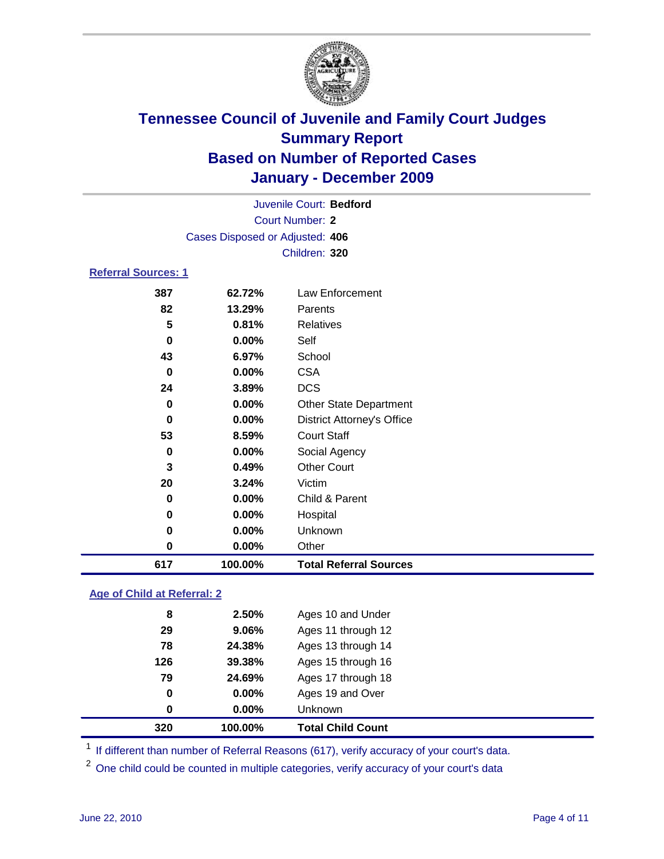

|                            |                                 | Juvenile Court: Bedford           |  |
|----------------------------|---------------------------------|-----------------------------------|--|
|                            |                                 | <b>Court Number: 2</b>            |  |
|                            | Cases Disposed or Adjusted: 406 |                                   |  |
|                            |                                 | Children: 320                     |  |
| <b>Referral Sources: 1</b> |                                 |                                   |  |
| 387                        | 62.72%                          | <b>Law Enforcement</b>            |  |
| 82                         | 13.29%                          | Parents                           |  |
| 5                          | 0.81%                           | <b>Relatives</b>                  |  |
| 0                          | 0.00%                           | Self                              |  |
| 43                         | 6.97%                           | School                            |  |
| 0                          | $0.00\%$                        | <b>CSA</b>                        |  |
| 24                         | 3.89%                           | <b>DCS</b>                        |  |
| 0                          | 0.00%                           | <b>Other State Department</b>     |  |
| 0                          | 0.00%                           | <b>District Attorney's Office</b> |  |
| 53                         | 8.59%                           | <b>Court Staff</b>                |  |
| 0                          | 0.00%                           | Social Agency                     |  |
| 3                          | 0.49%                           | <b>Other Court</b>                |  |
| 20                         | 3.24%                           | Victim                            |  |
| 0                          | $0.00\%$                        | Child & Parent                    |  |
| 0                          | $0.00\%$                        | Hospital                          |  |
| 0                          | 0.00%                           | Unknown                           |  |
| 0                          | 0.00%                           | Other                             |  |

### **Age of Child at Referral: 2**

| 320 | 100.00% | <b>Total Child Count</b> |  |
|-----|---------|--------------------------|--|
| 0   | 0.00%   | <b>Unknown</b>           |  |
| 0   | 0.00%   | Ages 19 and Over         |  |
| 79  | 24.69%  | Ages 17 through 18       |  |
| 126 | 39.38%  | Ages 15 through 16       |  |
| 78  | 24.38%  | Ages 13 through 14       |  |
| 29  | 9.06%   | Ages 11 through 12       |  |
| 8   | 2.50%   | Ages 10 and Under        |  |
|     |         |                          |  |

<sup>1</sup> If different than number of Referral Reasons (617), verify accuracy of your court's data.

**100.00% Total Referral Sources**

<sup>2</sup> One child could be counted in multiple categories, verify accuracy of your court's data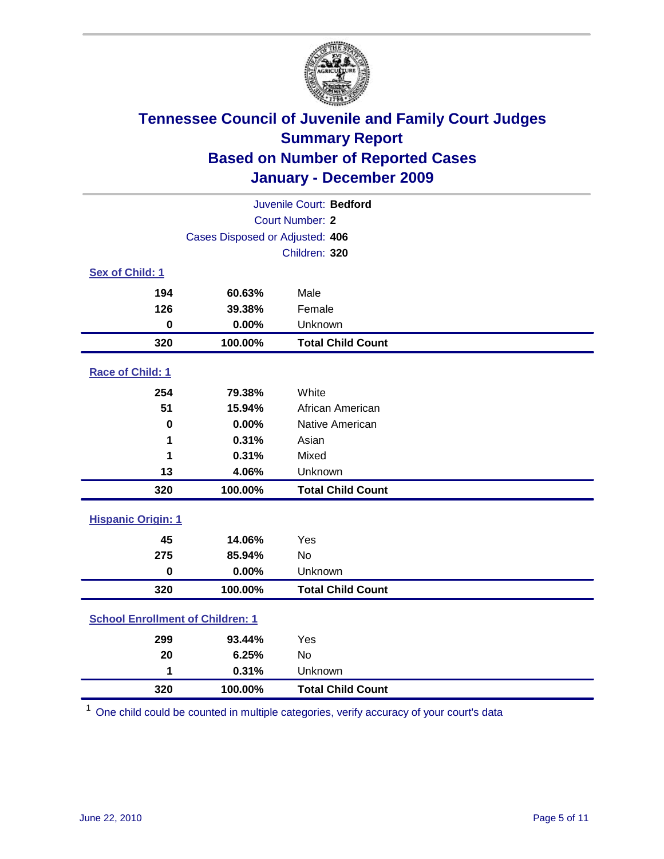

| Juvenile Court: Bedford                 |                                 |                          |  |  |
|-----------------------------------------|---------------------------------|--------------------------|--|--|
| <b>Court Number: 2</b>                  |                                 |                          |  |  |
|                                         | Cases Disposed or Adjusted: 406 |                          |  |  |
|                                         |                                 | Children: 320            |  |  |
| Sex of Child: 1                         |                                 |                          |  |  |
| 194                                     | 60.63%                          | Male                     |  |  |
| 126                                     | 39.38%                          | Female                   |  |  |
| $\bf{0}$                                | 0.00%                           | Unknown                  |  |  |
| 320                                     | 100.00%                         | <b>Total Child Count</b> |  |  |
| Race of Child: 1                        |                                 |                          |  |  |
| 254                                     | 79.38%                          | White                    |  |  |
| 51                                      | 15.94%                          | African American         |  |  |
| $\mathbf 0$                             | 0.00%                           | Native American          |  |  |
| 1                                       | 0.31%                           | Asian                    |  |  |
| 1                                       | 0.31%                           | Mixed                    |  |  |
| 13                                      | 4.06%                           | Unknown                  |  |  |
| 320                                     | 100.00%                         | <b>Total Child Count</b> |  |  |
| <b>Hispanic Origin: 1</b>               |                                 |                          |  |  |
| 45                                      | 14.06%                          | Yes                      |  |  |
| 275                                     | 85.94%                          | <b>No</b>                |  |  |
| $\mathbf 0$                             | 0.00%                           | Unknown                  |  |  |
| 320                                     | 100.00%                         | <b>Total Child Count</b> |  |  |
| <b>School Enrollment of Children: 1</b> |                                 |                          |  |  |
| 299                                     | 93.44%                          | Yes                      |  |  |
| 20                                      | 6.25%                           | No                       |  |  |
| 1                                       | 0.31%                           | Unknown                  |  |  |
| 320                                     | 100.00%                         | <b>Total Child Count</b> |  |  |

One child could be counted in multiple categories, verify accuracy of your court's data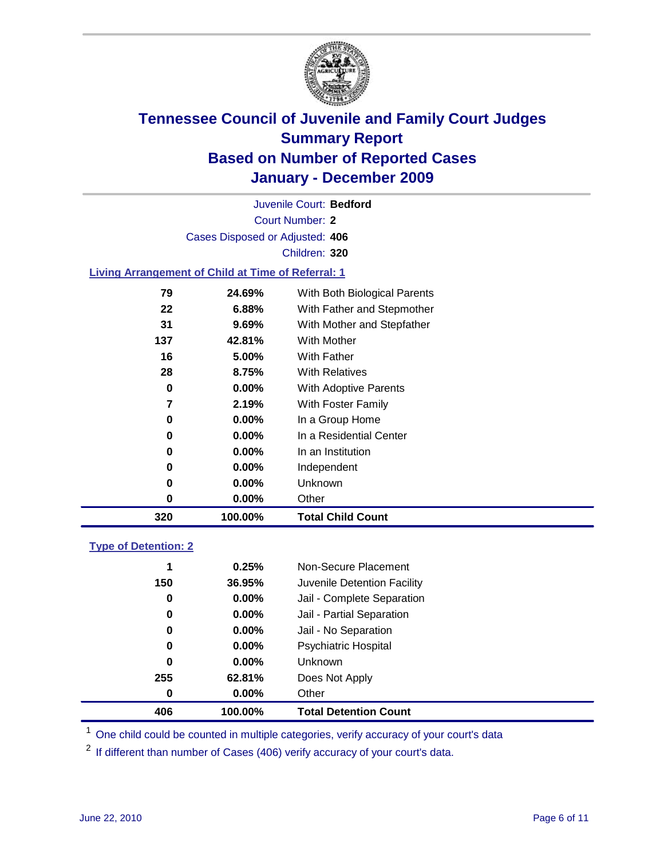

Court Number: **2** Juvenile Court: **Bedford** Cases Disposed or Adjusted: **406** Children: **320**

### **Living Arrangement of Child at Time of Referral: 1**

| 320 | 100.00%  | <b>Total Child Count</b>     |
|-----|----------|------------------------------|
| 0   | 0.00%    | Other                        |
| 0   | $0.00\%$ | Unknown                      |
| 0   | $0.00\%$ | Independent                  |
| 0   | 0.00%    | In an Institution            |
| 0   | $0.00\%$ | In a Residential Center      |
| 0   | 0.00%    | In a Group Home              |
| 7   | 2.19%    | With Foster Family           |
| 0   | 0.00%    | <b>With Adoptive Parents</b> |
| 28  | 8.75%    | <b>With Relatives</b>        |
| 16  | 5.00%    | With Father                  |
| 137 | 42.81%   | With Mother                  |
| 31  | 9.69%    | With Mother and Stepfather   |
| 22  | 6.88%    | With Father and Stepmother   |
| 79  | 24.69%   | With Both Biological Parents |
|     |          |                              |

#### **Type of Detention: 2**

| 406 | 100.00%  | <b>Total Detention Count</b> |  |
|-----|----------|------------------------------|--|
| 0   | $0.00\%$ | Other                        |  |
| 255 | 62.81%   | Does Not Apply               |  |
| 0   | $0.00\%$ | <b>Unknown</b>               |  |
| 0   | $0.00\%$ | Psychiatric Hospital         |  |
| 0   | 0.00%    | Jail - No Separation         |  |
| 0   | $0.00\%$ | Jail - Partial Separation    |  |
| 0   | 0.00%    | Jail - Complete Separation   |  |
| 150 | 36.95%   | Juvenile Detention Facility  |  |
| 1   | 0.25%    | Non-Secure Placement         |  |
|     |          |                              |  |

<sup>1</sup> One child could be counted in multiple categories, verify accuracy of your court's data

<sup>2</sup> If different than number of Cases (406) verify accuracy of your court's data.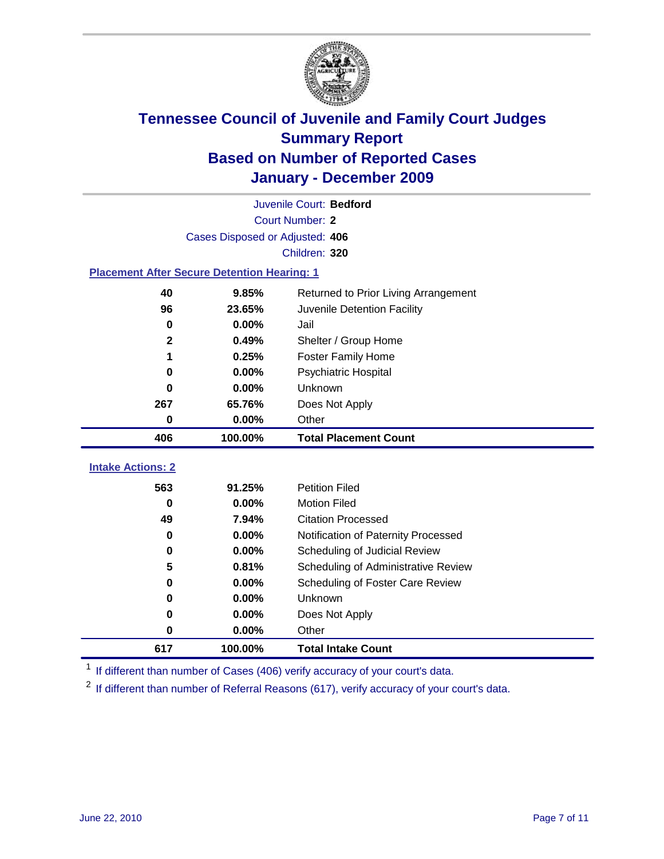

|                                                    | Juvenile Court: Bedford         |                                      |  |  |
|----------------------------------------------------|---------------------------------|--------------------------------------|--|--|
|                                                    | <b>Court Number: 2</b>          |                                      |  |  |
|                                                    | Cases Disposed or Adjusted: 406 |                                      |  |  |
|                                                    |                                 | Children: 320                        |  |  |
| <b>Placement After Secure Detention Hearing: 1</b> |                                 |                                      |  |  |
| 40                                                 | 9.85%                           | Returned to Prior Living Arrangement |  |  |
| 96                                                 | 23.65%                          | Juvenile Detention Facility          |  |  |
| 0                                                  | 0.00%                           | Jail                                 |  |  |
| $\mathbf{2}$                                       | 0.49%                           | Shelter / Group Home                 |  |  |
| 1                                                  | 0.25%                           | <b>Foster Family Home</b>            |  |  |
| $\bf{0}$                                           | 0.00%                           | <b>Psychiatric Hospital</b>          |  |  |
| 0                                                  | 0.00%                           | Unknown                              |  |  |
| 267                                                | 65.76%                          | Does Not Apply                       |  |  |
| 0                                                  | 0.00%                           | Other                                |  |  |
| 406                                                | 100.00%                         | <b>Total Placement Count</b>         |  |  |
|                                                    |                                 |                                      |  |  |
|                                                    |                                 |                                      |  |  |
| <b>Intake Actions: 2</b><br>563                    | 91.25%                          | <b>Petition Filed</b>                |  |  |
| $\bf{0}$                                           | 0.00%                           | <b>Motion Filed</b>                  |  |  |
| 49                                                 | 7.94%                           | <b>Citation Processed</b>            |  |  |
| 0                                                  | 0.00%                           | Notification of Paternity Processed  |  |  |
| 0                                                  | 0.00%                           | Scheduling of Judicial Review        |  |  |
| 5                                                  | 0.81%                           | Scheduling of Administrative Review  |  |  |
| 0                                                  | 0.00%                           | Scheduling of Foster Care Review     |  |  |
| $\bf{0}$                                           | 0.00%                           | Unknown                              |  |  |
| 0                                                  | 0.00%                           | Does Not Apply                       |  |  |
| $\pmb{0}$                                          | 0.00%                           | Other                                |  |  |

<sup>1</sup> If different than number of Cases (406) verify accuracy of your court's data.

<sup>2</sup> If different than number of Referral Reasons (617), verify accuracy of your court's data.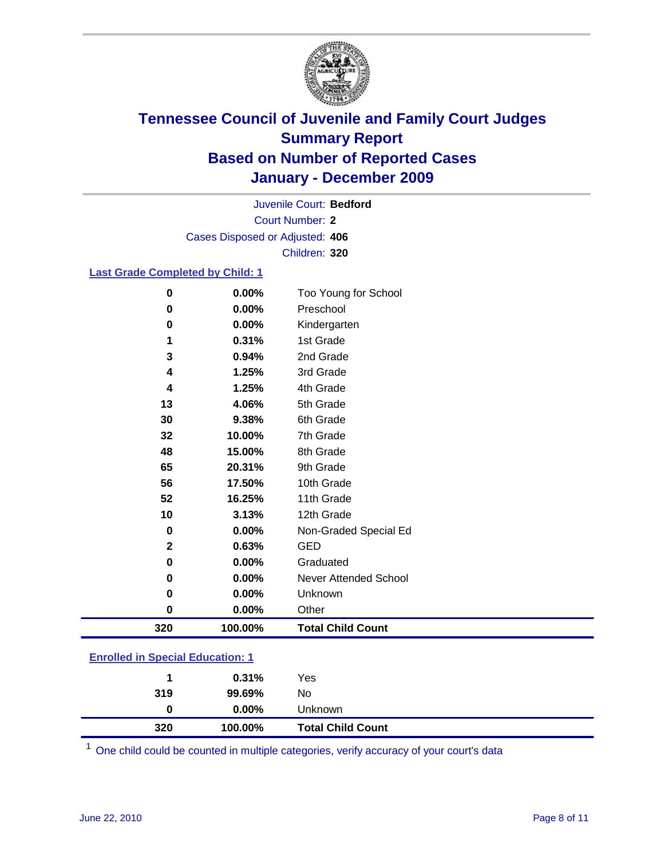

Court Number: **2** Juvenile Court: **Bedford** Cases Disposed or Adjusted: **406** Children: **320**

#### **Last Grade Completed by Child: 1**

| 320           | 100.00%        | <b>Total Child Count</b>          |  |
|---------------|----------------|-----------------------------------|--|
| $\bf{0}$      | 0.00%          | Other                             |  |
| 0             | 0.00%          | Unknown                           |  |
| 0             | 0.00%          | <b>Never Attended School</b>      |  |
| 0             | 0.00%          | Graduated                         |  |
| $\mathbf{2}$  | 0.63%          | <b>GED</b>                        |  |
| 0             | 0.00%          | Non-Graded Special Ed             |  |
| 10            | 3.13%          | 12th Grade                        |  |
| 52            | 16.25%         | 11th Grade                        |  |
| 56            | 17.50%         | 10th Grade                        |  |
| 65            | 20.31%         | 9th Grade                         |  |
| 48            | 15.00%         | 8th Grade                         |  |
| 32            | 10.00%         | 7th Grade                         |  |
| 30            | 9.38%          | 6th Grade                         |  |
| 13            | 4.06%          | 5th Grade                         |  |
| 4             | 1.25%          | 4th Grade                         |  |
| 4             | 1.25%          | 3rd Grade                         |  |
| 3             | 0.94%          | 2nd Grade                         |  |
| 1             | 0.31%          | 1st Grade                         |  |
| 0             | 0.00%          | Kindergarten                      |  |
| $\bf{0}$<br>0 | 0.00%<br>0.00% | Too Young for School<br>Preschool |  |

### **Enrolled in Special Education: 1**

| 320 | 100.00%  | <b>Total Child Count</b> |
|-----|----------|--------------------------|
| 0   | $0.00\%$ | <b>Unknown</b>           |
| 319 | 99.69%   | No                       |
|     | 0.31%    | Yes                      |
|     |          |                          |

One child could be counted in multiple categories, verify accuracy of your court's data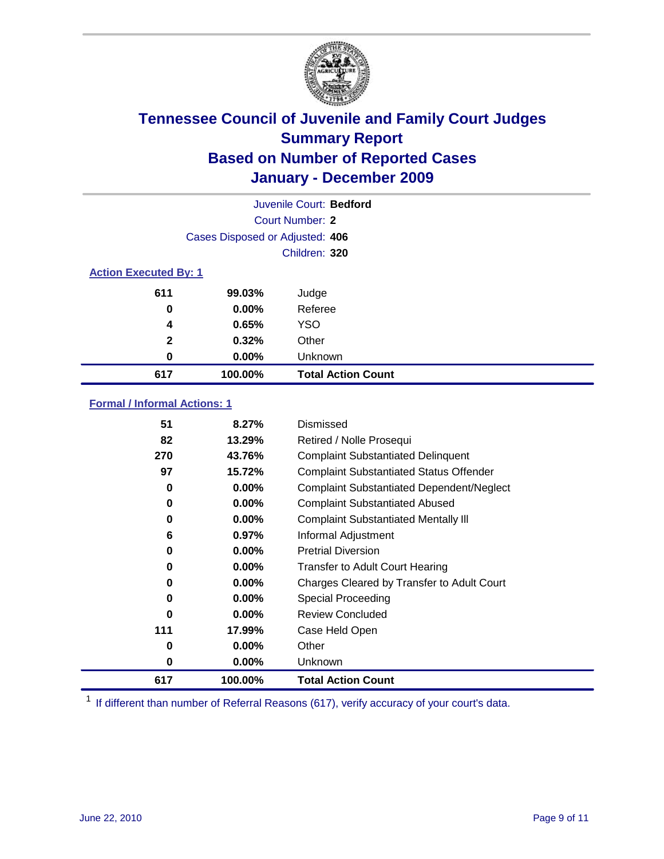

|                              | Juvenile Court: Bedford         |                           |  |  |
|------------------------------|---------------------------------|---------------------------|--|--|
|                              | Court Number: 2                 |                           |  |  |
|                              | Cases Disposed or Adjusted: 406 |                           |  |  |
|                              | Children: 320                   |                           |  |  |
| <b>Action Executed By: 1</b> |                                 |                           |  |  |
| 611                          | 99.03%                          | Judge                     |  |  |
| 0                            | $0.00\%$                        | Referee                   |  |  |
| 4                            | 0.65%                           | <b>YSO</b>                |  |  |
| $\mathbf{2}$                 | 0.32%                           | Other                     |  |  |
| 0                            | $0.00\%$                        | Unknown                   |  |  |
| 617                          | 100.00%                         | <b>Total Action Count</b> |  |  |

### **Formal / Informal Actions: 1**

| 51  | 8.27%    | Dismissed                                        |
|-----|----------|--------------------------------------------------|
| 82  | 13.29%   | Retired / Nolle Prosequi                         |
| 270 | 43.76%   | <b>Complaint Substantiated Delinquent</b>        |
| 97  | 15.72%   | <b>Complaint Substantiated Status Offender</b>   |
| 0   | $0.00\%$ | <b>Complaint Substantiated Dependent/Neglect</b> |
| 0   | $0.00\%$ | <b>Complaint Substantiated Abused</b>            |
| 0   | $0.00\%$ | <b>Complaint Substantiated Mentally III</b>      |
| 6   | 0.97%    | Informal Adjustment                              |
| 0   | $0.00\%$ | <b>Pretrial Diversion</b>                        |
| 0   | $0.00\%$ | <b>Transfer to Adult Court Hearing</b>           |
| 0   | 0.00%    | Charges Cleared by Transfer to Adult Court       |
| 0   | $0.00\%$ | Special Proceeding                               |
| 0   | $0.00\%$ | <b>Review Concluded</b>                          |
| 111 | 17.99%   | Case Held Open                                   |
| 0   | $0.00\%$ | Other                                            |
| 0   | $0.00\%$ | <b>Unknown</b>                                   |
| 617 | 100.00%  | <b>Total Action Count</b>                        |

<sup>1</sup> If different than number of Referral Reasons (617), verify accuracy of your court's data.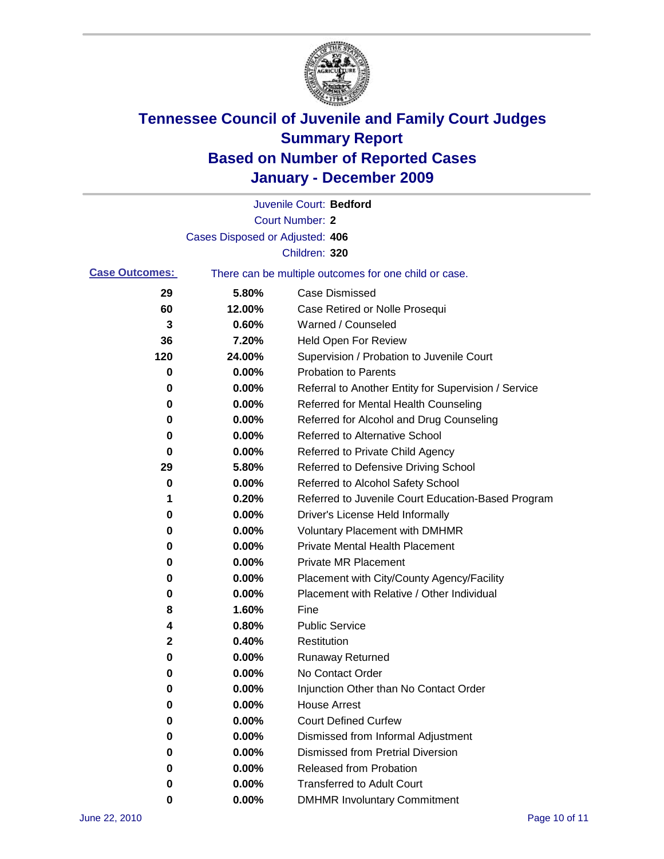

|                       |                                 | Juvenile Court: Bedford                               |
|-----------------------|---------------------------------|-------------------------------------------------------|
|                       |                                 | <b>Court Number: 2</b>                                |
|                       | Cases Disposed or Adjusted: 406 |                                                       |
|                       |                                 | Children: 320                                         |
| <b>Case Outcomes:</b> |                                 | There can be multiple outcomes for one child or case. |
| 29                    | 5.80%                           | <b>Case Dismissed</b>                                 |
| 60                    | 12.00%                          | Case Retired or Nolle Prosequi                        |
| 3                     | 0.60%                           | Warned / Counseled                                    |
| 36                    | 7.20%                           | <b>Held Open For Review</b>                           |
| 120                   | 24.00%                          | Supervision / Probation to Juvenile Court             |
| 0                     | 0.00%                           | <b>Probation to Parents</b>                           |
| 0                     | 0.00%                           | Referral to Another Entity for Supervision / Service  |
| 0                     | 0.00%                           | Referred for Mental Health Counseling                 |
| 0                     | 0.00%                           | Referred for Alcohol and Drug Counseling              |
| 0                     | 0.00%                           | Referred to Alternative School                        |
| 0                     | 0.00%                           | Referred to Private Child Agency                      |
| 29                    | 5.80%                           | Referred to Defensive Driving School                  |
| 0                     | 0.00%                           | Referred to Alcohol Safety School                     |
| 1                     | 0.20%                           | Referred to Juvenile Court Education-Based Program    |
| 0                     | 0.00%                           | Driver's License Held Informally                      |
| 0                     | 0.00%                           | <b>Voluntary Placement with DMHMR</b>                 |
| 0                     | 0.00%                           | <b>Private Mental Health Placement</b>                |
| 0                     | 0.00%                           | <b>Private MR Placement</b>                           |
| 0                     | 0.00%                           | Placement with City/County Agency/Facility            |
| 0                     | 0.00%                           | Placement with Relative / Other Individual            |
| 8                     | 1.60%                           | Fine                                                  |
| 4                     | 0.80%                           | <b>Public Service</b>                                 |
| 2                     | 0.40%                           | Restitution                                           |
| 0                     | 0.00%                           | <b>Runaway Returned</b>                               |
| 0                     | 0.00%                           | No Contact Order                                      |
| 0                     | 0.00%                           | Injunction Other than No Contact Order                |
| 0                     | 0.00%                           | <b>House Arrest</b>                                   |
| 0                     | 0.00%                           | <b>Court Defined Curfew</b>                           |
| 0                     | 0.00%                           | Dismissed from Informal Adjustment                    |
| 0                     | 0.00%                           | <b>Dismissed from Pretrial Diversion</b>              |
| 0                     | 0.00%                           | Released from Probation                               |
| 0                     | 0.00%                           | <b>Transferred to Adult Court</b>                     |
| 0                     | $0.00\%$                        | <b>DMHMR Involuntary Commitment</b>                   |